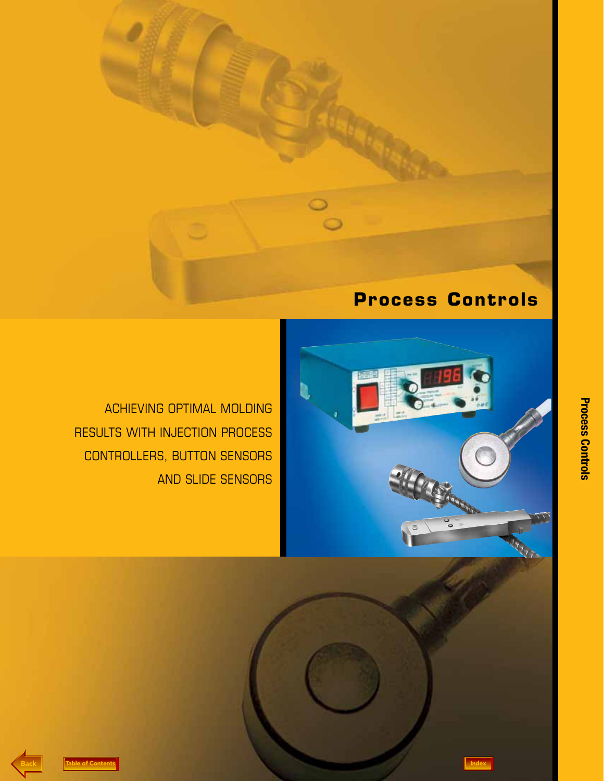



ACHIEVING OPTIMAL MOLDING RESULTS WITH INJECTION PROCESS CONTROLLERS, BUTTON SENSORS AND SLIDE SENSORS



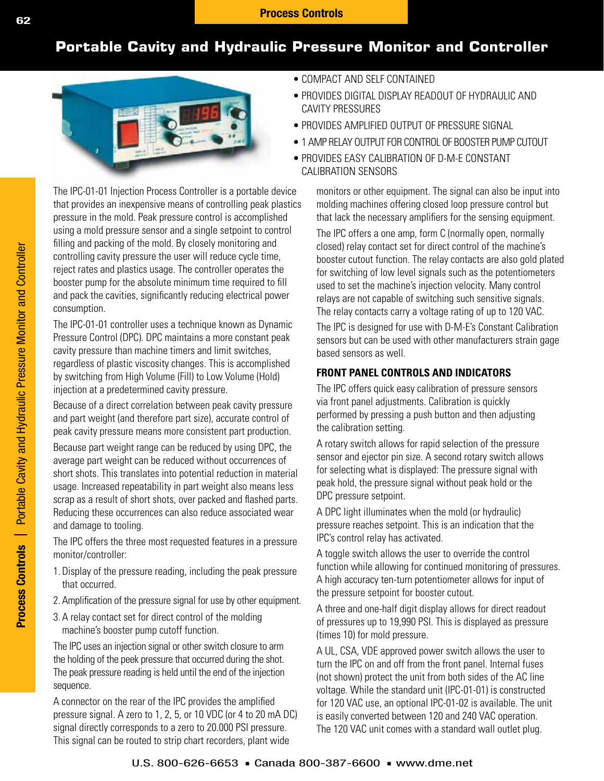# **Portable Cavity and Hydraulic Pressure Monitor and Controller**



The IPC-01-01 Injection Process Controller is a portable device that provides an inexpensive means of controlling peak plastics pressure in the mold. Peak pressure control is accomplished using a mold pressure sensor and a single setpoint to control filling and packing of the mold. By closely monitoring and controlling cavity pressure the user will reduce cycle time, reject rates and plastics usage. The controller operates the booster pump for the absolute minimum time required to fill and pack the cavities, significantly reducing electrical power consumption.

The IPC-01-01 controller uses a technique known as Dynamic Pressure Control (DPC). DPC maintains a more constant peak cavity pressure than machine timers and limit switches, regardless of plastic viscosity changes. This is accomplished by switching from High Volume (Fill) to Low Volume (Hold) injection at a predetermined cavity pressure.

Because of a direct correlation between peak cavity pressure and part weight (and therefore part size), accurate control of peak cavity pressure means more consistent part production.

Because part weight range can be reduced by using DPC, the average part weight can be reduced without occurrences of short shots. This translates into potential reduction in material usage. Increased repeatability in part weight also means less scrap as a result of short shots, over packed and flashed parts. Reducing these occurrences can also reduce associated wear and damage to tooling.

The IPC offers the three most requested features in a pressure monitor/controller:

- 1. Display of the pressure reading, including the peak pressure that occurred.
- 2. Amplification of the pressure signal for use by other equipment.
- 3. A relay contact set for direct control of the molding machine's booster pump cutoff function.

The IPC uses an injection signal or other switch closure to arm the holding of the peek pressure that occurred during the shot. The peak pressure reading is held until the end of the injection sequence.

A connector on the rear of the IPC provides the amplified pressure signal. A zero to 1, 2, 5, or 10 VDC (or 4 to 20 mA DC) signal directly corresponds to a zero to 20.000 PSI pressure. This signal can be routed to strip chart recorders, plant wide

- COMPACT AND SELF CONTAINED
- PROVIDES DIGITAL DISPLAY READOUT OF HYDRAULIC AND CAVITY PRESSURES
- PROVIDES AMPLIFIED OUTPUT OF PRESSURE SIGNAL •
- 1 AMP RELAY OUTPUT FOR CONTROL OF BOOSTER PUMP CUTOUT •
- PROVIDES EASY CALIBRATION OF D-M-E CONSTANT CALIBRATION SENSORS

monitors or other equipment. The signal can also be input into molding machines offering closed loop pressure control but that lack the necessary amplifiers for the sensing equipment.

The IPC offers a one amp, form C (normally open, normally closed) relay contact set for direct control of the machine's booster cutout function. The relay contacts are also gold plated for switching of low level signals such as the potentiometers used to set the machine's injection velocity. Many control relays are not capable of switching such sensitive signals. The relay contacts carry a voltage rating of up to 120 VAC.

The IPC is designed for use with D-M-E's Constant Calibration sensors but can be used with other manufacturers strain gage based sensors as well.

## **FRONT PANEL CONTROLS AND INDICATORS**

The IPC offers quick easy calibration of pressure sensors via front panel adjustments. Calibration is quickly performed by pressing a push button and then adjusting the calibration setting.

A rotary switch allows for rapid selection of the pressure sensor and ejector pin size. A second rotary switch allows for selecting what is displayed: The pressure signal with peak hold, the pressure signal without peak hold or the DPC pressure setpoint.

A DPC light illuminates when the mold (or hydraulic) pressure reaches setpoint. This is an indication that the IPC's control relay has activated.

A toggle switch allows the user to override the control function while allowing for continued monitoring of pressures. A high accuracy ten-turn potentiometer allows for input of the pressure setpoint for booster cutout.

A three and one-half digit display allows for direct readout of pressures up to 19,990 PSI. This is displayed as pressure (times 10) for mold pressure.

A UL, CSA, VDE approved power switch allows the user to turn the IPC on and off from the front panel. Internal fuses (not shown) protect the unit from both sides of the AC line voltage. While the standard unit (IPC-01-01) is constructed for 120 VAC use, an optional IPC-01-02 is available. The unit is easily converted between 120 and 240 VAC operation. The 120 VAC unit comes with a standard wall outlet plug.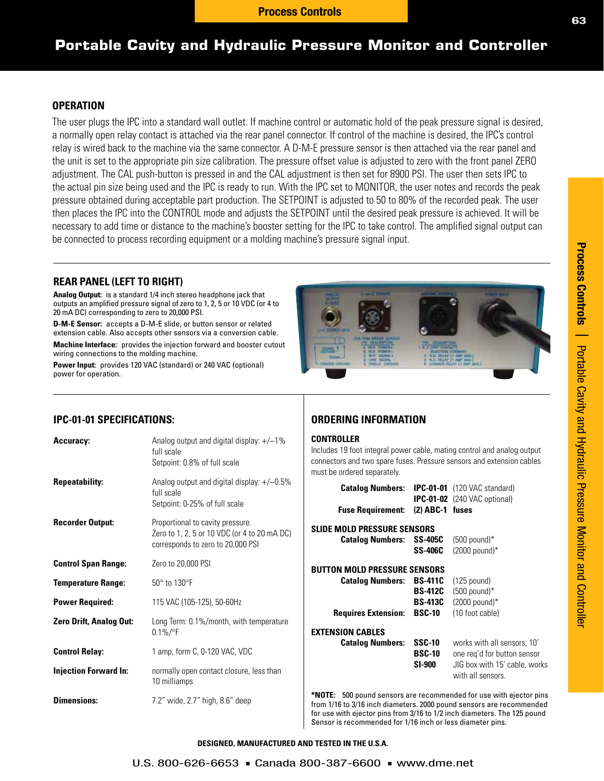# **Portable Cavity and Hydraulic Pressure Monitor and Controller**

### **OPERATION**

The user plugs the IPC into a standard wall outlet. If machine control or automatic hold of the peak pressure signal is desired, a normally open relay contact is attached via the rear panel connector. If control of the machine is desired, the IPC's control relay is wired back to the machine via the same connector. A D-M-E pressure sensor is then attached via the rear panel and the unit is set to the appropriate pin size calibration. The pressure offset value is adjusted to zero with the front panel ZERO adjustment. The CAL push-button is pressed in and the CAL adjustment is then set for 8900 PSI. The user then sets IPC to the actual pin size being used and the IPC is ready to run. With the IPC set to MONITOR, the user notes and records the peak pressure obtained during acceptable part production. The SETPOINT is adjusted to 50 to 80% of the recorded peak. The user then places the IPC into the CONTROL mode and adjusts the SETPOINT until the desired peak pressure is achieved. It will be necessary to add time or distance to the machine's booster setting for the IPC to take control. The amplified signal output can be connected to process recording equipment or a molding machine's pressure signal input.

### **REAR PANEL (LEFT TO RIGHT)**

**Analog Output:** is a standard 1/4 inch stereo headphone jack that outputs an amplified pressure signal of zero to 1, 2, 5 or 10 VDC (or 4 to 20 mA DC) corresponding to zero to 20,000 PSI.

**D-M-E Sensor:** accepts a D-M-E slide, or button sensor or related extension cable. Also accepts other sensors via a conversion cable.

**Machine Interface:** provides the injection forward and booster cutout wiring connections to the molding machine.

**Power Input:** provides 120 VAC (standard) or 240 VAC (optional) power for operation.



### **IPC-01-01 SPECIFICATIONS:**

| <b>Accuracy:</b>               | Analog output and digital display: $+/-1\%$<br>full scale<br>Setpoint: 0.8% of full scale                             | CO <sub>I</sub><br><b>Incl</b><br>con |
|--------------------------------|-----------------------------------------------------------------------------------------------------------------------|---------------------------------------|
| <b>Repeatability:</b>          | Analog output and digital display: $+/-0.5\%$<br>full scale<br>Setpoint: 0-25% of full scale                          | mus                                   |
| <b>Recorder Output:</b>        | Proportional to cavity pressure.<br>Zero to 1, 2, 5 or 10 VDC (or 4 to 20 mA DC)<br>corresponds to zero to 20,000 PSI | <b>SLI</b>                            |
| <b>Control Span Range:</b>     | Zero to 20,000 PSI                                                                                                    | <b>BU</b>                             |
| <b>Temperature Range:</b>      | 50° to 130°F                                                                                                          |                                       |
| <b>Power Required:</b>         | 115 VAC (105-125), 50-60Hz                                                                                            |                                       |
| <b>Zero Drift, Analog Out:</b> | Long Term: 0.1%/month, with temperature<br>$0.1\%/^{\circ}F$                                                          | EX1                                   |
| <b>Control Relay:</b>          | 1 amp, form C, 0-120 VAC, VDC                                                                                         |                                       |
| <b>Injection Forward In:</b>   | normally open contact closure, less than<br>10 milliamps                                                              |                                       |
| <b>Dimensions:</b>             | 7.2" wide, 2.7" high, 8.6" deep                                                                                       | *N(<br>fror                           |

### **ORDERING INFORMATION**

### **NTROLLER**

ludes 19 foot integral power cable, mating control and analog output nectors and two spare fuses. Pressure sensors and extension cables st be ordered separately.

| <b>Catalog Numbers:</b>                                                                      |                                                                     | <b>IPC-01-01</b> (120 VAC standard)<br><b>IPC-01-02</b> (240 VAC optional)                                       |
|----------------------------------------------------------------------------------------------|---------------------------------------------------------------------|------------------------------------------------------------------------------------------------------------------|
| <b>Fuse Requirement:</b>                                                                     | $(2)$ ABC-1 fuses                                                   |                                                                                                                  |
| SLIDE MOLD PRESSURE SENSORS<br><b>Catalog Numbers:</b>                                       | <b>SS-405C</b><br><b>SS-406C</b>                                    | $(500$ pound)*<br>$(2000$ pound)*                                                                                |
| <b>BUTTON MOLD PRESSURE SENSORS</b><br><b>Catalog Numbers:</b><br><b>Requires Extension:</b> | <b>BS-411C</b><br><b>BS-412C</b><br><b>BS-413C</b><br><b>BSC-10</b> | $(125$ pound)<br>$(500$ pound)*<br>$(2000$ pound)*<br>(10 foot cable)                                            |
| <b>EXTENSION CABLES</b><br><b>Catalog Numbers:</b>                                           | SSC-10<br><b>BSC-10</b><br><b>SI-900</b>                            | works with all sensors, 10'<br>one reg'd for button sensor<br>JIG box with 15' cable, works<br>with all sensors. |

**OTE:** 500 pound sensors are recommended for use with ejector pins m 1/16 to 3/16 inch diameters. 2000 pound sensors are recommended for use with ejector pins from 3/16 to 1/2 inch diameters. The 125 pound Sensor is recommended for 1/16 inch or less diameter pins.

**DESIGNED, MANUFACTURED AND TESTED IN THE U.S.A.**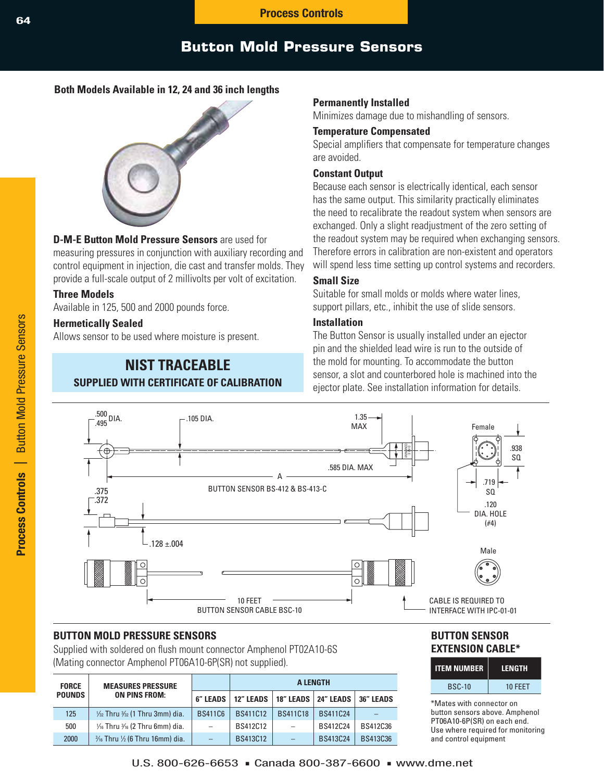# **Button Mold Pressure Sensors**

## **Both Models Available in 12, 24 and 36 inch lengths**



### **D-M-E Button Mold Pressure Sensors** are used for

measuring pressures in conjunction with auxiliary recording and control equipment in injection, die cast and transfer molds. They provide a full-scale output of 2 millivolts per volt of excitation.

### **Three Models**

Available in 125, 500 and 2000 pounds force.

### **Hermetically Sealed**

Allows sensor to be used where moisture is present.

## **NIST TRACEABLE SUPPLIED WITH CERTIFICATE OF CALIBRATION**

### **Permanently Installed**

Minimizes damage due to mishandling of sensors.

### **Temperature Compensated**

Special amplifiers that compensate for temperature changes are avoided.

### **Constant Output**

Because each sensor is electrically identical, each sensor has the same output. This similarity practically eliminates the need to recalibrate the readout system when sensors are exchanged. Only a slight readjustment of the zero setting of the readout system may be required when exchanging sensors. Therefore errors in calibration are non-existent and operators will spend less time setting up control systems and recorders.

### **Small Size**

Suitable for small molds or molds where water lines, support pillars, etc., inhibit the use of slide sensors.

## **Installation**

The Button Sensor is usually installed under an ejector pin and the shielded lead wire is run to the outside of the mold for mounting. To accommodate the button sensor, a slot and counterbored hole is machined into the ejector plate. See installation information for details.



## **BUTTON MOLD PRESSURE SENSORS**

Supplied with soldered on flush mount connector Amphenol PT02A10-6S (Mating connector Amphenol PT06A10-6P(SR) not supplied).

| <b>MEASURES PRESSURE</b><br><b>FORCE</b> |                                                      |                          | <b>A LENGTH</b>  |                   |                       |                  |  |
|------------------------------------------|------------------------------------------------------|--------------------------|------------------|-------------------|-----------------------|------------------|--|
| <b>POUNDS</b>                            | <b>ON PINS FROM:</b>                                 | <b>6" LEADS</b>          | <b>12" LEADS</b> |                   | 18" LEADS   24" LEADS | <b>36" LEADS</b> |  |
| 125                                      | $\frac{1}{2}$ Thru $\frac{3}{2}$ (1 Thru 3mm) dia.   | <b>BS411C6</b>           | <b>BS411C12</b>  | <b>BS411C18</b>   | BS411C24              |                  |  |
| 500                                      | $1/6$ Thru $3/6$ (2 Thru 6mm) dia.                   | $\overline{\phantom{0}}$ | BS412C12         |                   | BS412C24              | BS412C36         |  |
| 2000                                     | $\frac{3}{16}$ Thru $\frac{1}{2}$ (6 Thru 16mm) dia. | $\qquad \qquad -$        | <b>BS413C12</b>  | $\qquad \qquad -$ | <b>BS413C24</b>       | BS413C36         |  |

### **BUTTON SENSOR EXTENSION CABLE\***

| <b>ITEM NUMBER</b> | LENGTH  |
|--------------------|---------|
| <b>BSC-10</b>      | 10 FEET |

\*Mates with connector on button sensors above. Amphenol PT06A10-6P(SR) on each end. Use where required for monitoring and control equipment

## U.S. 800-626-6653  $\blacksquare$  Canada 800-387-6600  $\blacksquare$  www.dme.net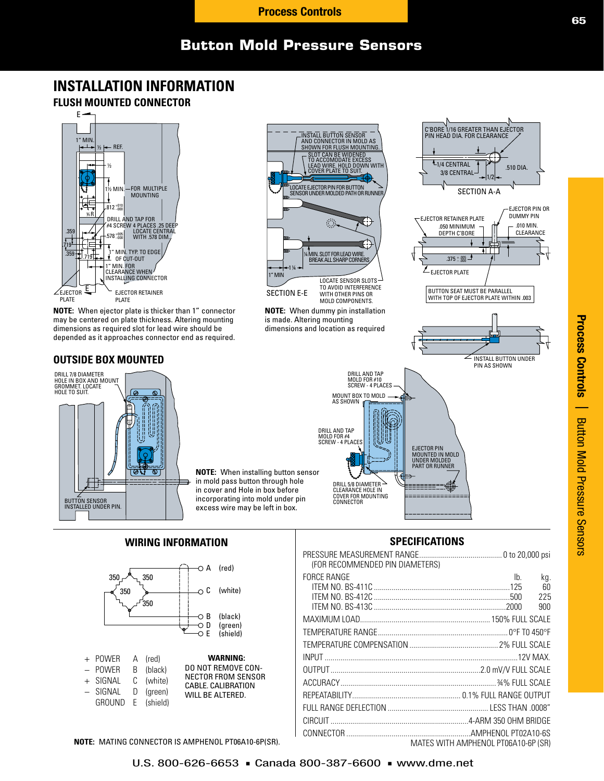# **Button Mold Pressure Sensors**

# **INSTALLATION INFORMATION**





**NOTE:** When ejector plate is thicker than 1" connector may be centered on plate thickness. Altering mounting dimensions as required slot for lead wire should be depended as it approaches connector end as required.

### **OUTSIDE BOX MOUNTED**





| $+$ I UVVLII A II GUI    |           |                                                 |
|--------------------------|-----------|-------------------------------------------------|
| - POWER                  | B (black) | <b>DO NOT REMOVE CON-</b>                       |
| + SIGNAL C (white)       |           | <b>NECTOR FROM SENSOR</b><br>CABLE, CALIBRATION |
| $-$ SIGNAL $-$ D (areen) |           | WILL BE ALTERED.                                |
| GROUND E (shield)        |           |                                                 |

**NOTE:** MATING CONNECTOR IS AMPHENOL PT06A10-6P(SR).



**NOTE:** When dummy pin installation is made. Altering mounting dimensions and location as required

> DRILL AND TAP MOLD FOR #4 SCREW - 4 PLACES

DRILL AND TAP MOLD FOR #10 SCREW - 4 PLACES

MOUNT BOX TO MOLD AS SHOWN

DRILL 5/8 DIAMETER CLEARANCE HOLE IN COVER FOR MOUNTING CONNECTOR



## **SPECIFICATIONS**

EJECTOR PIN MOUNTED IN MOLD UNDER MOLDED PART OR RUNNER

| (FOR RECOMMENDED PIN DIAMETERS) |                                           |
|---------------------------------|-------------------------------------------|
| <b>FORCE RANGE</b>              | I <sub>b</sub><br>kg.<br>60<br>225<br>900 |
|                                 |                                           |
|                                 |                                           |
|                                 |                                           |
|                                 |                                           |
|                                 |                                           |
|                                 |                                           |
|                                 |                                           |
|                                 |                                           |
|                                 |                                           |
|                                 | MATES WITH AMPHENOL PT06A10-6P (SR)       |



C'BORE 1/16 GREATER THAN EJECTOR<br>PIN HEAD DIA. FOR CLEARANCE /

**L**<sub>1/4</sub> CENTRAL

 $<sub>EJECTOR</sub>$  PLATE</sub>

 $.375^{+.005}_{-.000}$ 

.050 MINIMUM DEPTH C'BORE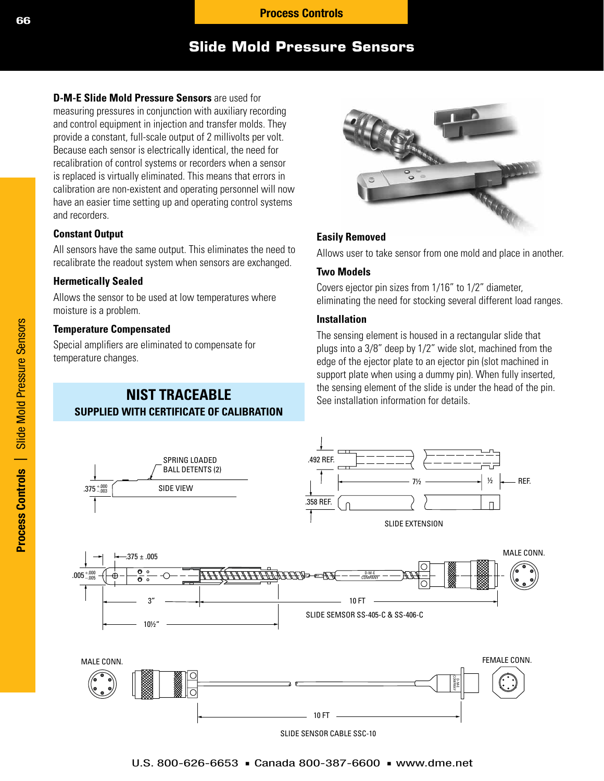# **Slide Mold Pressure Sensors**

**D-M-E Slide Mold Pressure Sensors** are used for measuring pressures in conjunction with auxiliary recording and control equipment in injection and transfer molds. They provide a constant, full-scale output of 2 millivolts per volt. Because each sensor is electrically identical, the need for recalibration of control systems or recorders when a sensor is replaced is virtually eliminated. This means that errors in calibration are non-existent and operating personnel will now have an easier time setting up and operating control systems and recorders.

### **Constant Output**

All sensors have the same output. This eliminates the need to recalibrate the readout system when sensors are exchanged.

### **Hermetically Sealed**

Allows the sensor to be used at low temperatures where moisture is a problem.

### **Temperature Compensated**

Special amplifiers are eliminated to compensate for temperature changes.

## **NIST TRACEABLE SUPPLIED WITH CERTIFICATE OF CALIBRATION**



### **Easily Removed**

Allows user to take sensor from one mold and place in another.

### **Two Models**

Covers ejector pin sizes from 1/16" to 1/2" diameter, eliminating the need for stocking several different load ranges.

### **Installation**

The sensing element is housed in a rectangular slide that plugs into a 3/8" deep by 1/2" wide slot, machined from the edge of the ejector plate to an ejector pin (slot machined in support plate when using a dummy pin). When fully inserted, the sensing element of the slide is under the head of the pin. See installation information for details.

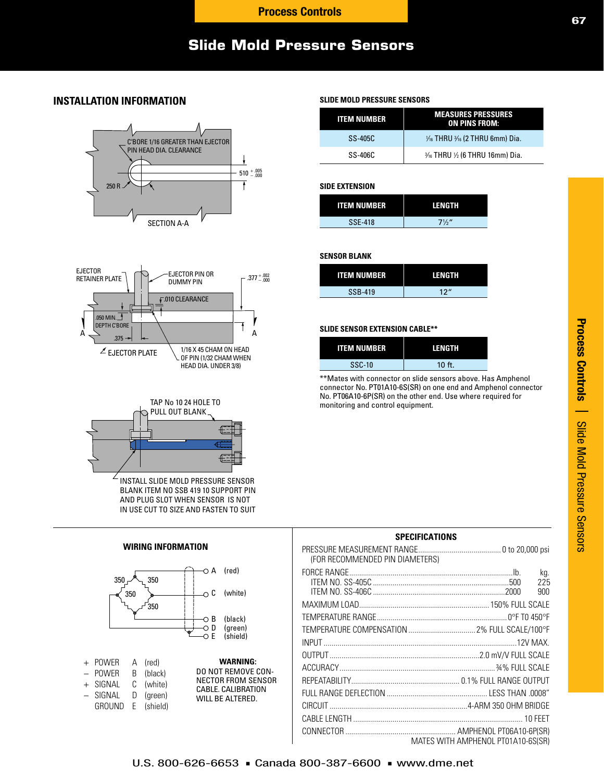# **Slide Mold Pressure Sensors**

### **INSTALLATION INFORMATION**







**WIRING INFORMATION**

INSTALL SLIDE MOLD PRESSURE SENSOR BLANK ITEM NO SSB 419 10 SUPPORT PIN AND PLUG SLOT WHEN SENSOR IS NOT IN USE CUT TO SIZE AND FASTEN TO SUIT



### **SLIDE MOLD PRESSURE SENSORS**

| <b>ITEM NUMBER</b> | <b>MEASURES PRESSURES</b><br><b>ON PINS FROM:</b>    |
|--------------------|------------------------------------------------------|
| $SS-405C$          | $\frac{1}{16}$ THRU $\frac{3}{16}$ (2 THRU 6mm) Dia. |
| $SS-406C$          | $\frac{3}{16}$ THRU $\frac{1}{2}$ (6 THRU 16mm) Dia. |

#### **SIDE EXTENSION**

| <b>ITEM NUMBER</b> | LENGTH         |
|--------------------|----------------|
| <b>SSE-418</b>     | $7\frac{1}{2}$ |

### **SENSOR BLANK**

| <b>ITEM NUMBER</b> | LENGTH          |
|--------------------|-----------------|
| SSB-419            | 12 <sup>u</sup> |

### **SLIDE SENSOR EXTENSION CABLE\*\***

| <b>ITEM NUMBER</b> | LENGTH   |
|--------------------|----------|
| <b>SSC-10</b>      | $10$ ft. |

\*\*Mates with connector on slide sensors above. Has Amphenol connector No. PT01A10-6S(SR) on one end and Amphenol connector No. PT06A10-6P(SR) on the other end. Use where required for monitoring and control equipment.

### **SPECIFICATIONS** PRESSURE MEASUREMENT RANGE.......................................... 0 to 20,000 psi (FOR RECOMMENDED PIN DIAMETERS) FORCE RANGE...................................................................................Ib. kg. ITEM NO. SS-405C .....................................................................500 225 ITEM NO. SS-406C ...................................................................2000 900 MAXIMUM LOAD.................................................................. 150% FULL SCALE TEMPERATURE RANGE.................................................................. 0°F T0 450°F TEMPERATURE COMPENSATION .................................. 2% FULL SCALE/100°F INPUT ..................................................................................................12V MAX. OUTPUT............................................................................2.0 mV/V FULL SCALE ACCURACY............................................................................... ¾% FULL SCALE REPEATABILITY....................................................... 0.1% FULL RANGE OUTPUT FULL RANGE DEFLECTION ................................................... LESS THAN .0008" CIRCUIT ......................................................................4-ARM 350 OHM BRIDGE CABLE LENGTH ...................................................................................... 10 FEET CONNECTOR ........................................................ AMPHENOL PT06A10-6P(SR) MATES WITH AMPHENOL PT01A10-6S(SR)

**67**